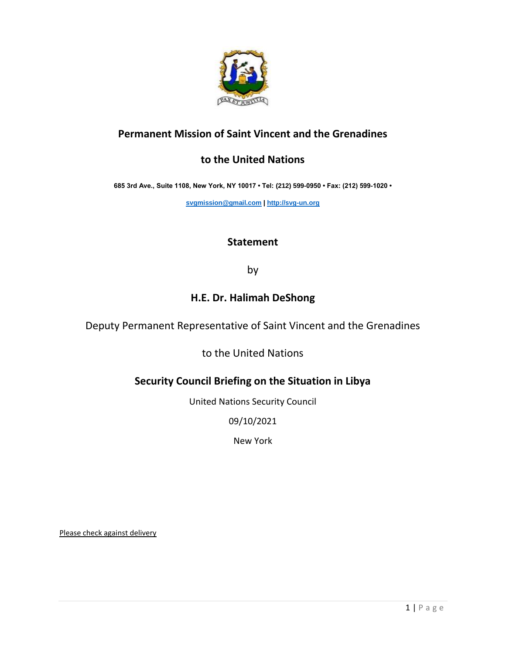

# **Permanent Mission of Saint Vincent and the Grenadines**

## **to the United Nations**

**685 3rd Ave., Suite 1108, New York, NY 10017 • Tel: (212) 599-0950 • Fax: (212) 599-1020 •** 

**[svgmission@gmail.com](mailto:svgmission@gmail.com) [| http://svg-un.org](http://svg-un.org/)**

## **Statement**

by

## **H.E. Dr. Halimah DeShong**

Deputy Permanent Representative of Saint Vincent and the Grenadines

to the United Nations

## **Security Council Briefing on the Situation in Libya**

United Nations Security Council

09/10/2021

New York

Please check against delivery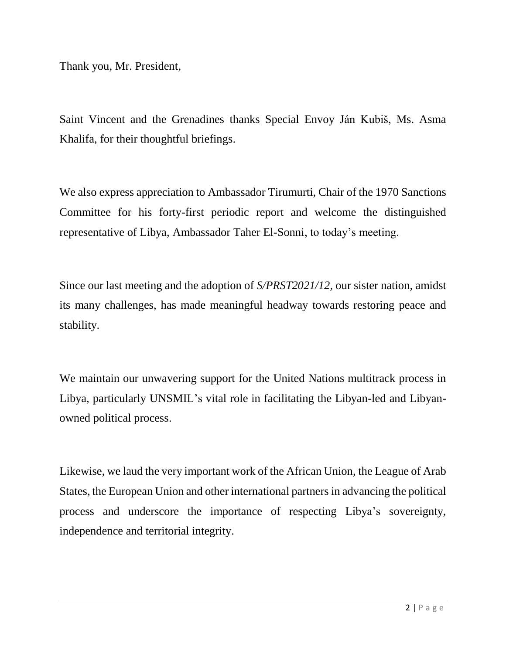Thank you, Mr. President,

Saint Vincent and the Grenadines thanks Special Envoy Ján Kubiš, Ms. Asma Khalifa, for their thoughtful briefings.

We also express appreciation to Ambassador Tirumurti, Chair of the 1970 Sanctions Committee for his forty-first periodic report and welcome the distinguished representative of Libya, Ambassador Taher El-Sonni, to today's meeting.

Since our last meeting and the adoption of *S/PRST2021/12,* our sister nation, amidst its many challenges, has made meaningful headway towards restoring peace and stability.

We maintain our unwavering support for the United Nations multitrack process in Libya, particularly UNSMIL's vital role in facilitating the Libyan-led and Libyanowned political process.

Likewise, we laud the very important work of the African Union, the League of Arab States, the European Union and other international partners in advancing the political process and underscore the importance of respecting Libya's sovereignty, independence and territorial integrity.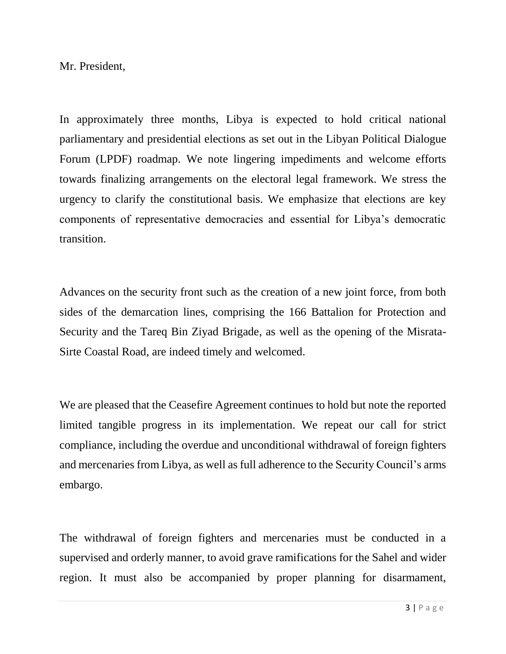Mr. President,

In approximately three months, Libya is expected to hold critical national parliamentary and presidential elections as set out in the Libyan Political Dialogue Forum (LPDF) roadmap. We note lingering impediments and welcome efforts towards finalizing arrangements on the electoral legal framework. We stress the urgency to clarify the constitutional basis. We emphasize that elections are key components of representative democracies and essential for Libya's democratic transition.

Advances on the security front such as the creation of a new joint force, from both sides of the demarcation lines, comprising the 166 Battalion for Protection and Security and the Tareq Bin Ziyad Brigade, as well as the opening of the Misrata-Sirte Coastal Road, are indeed timely and welcomed.

We are pleased that the Ceasefire Agreement continues to hold but note the reported limited tangible progress in its implementation. We repeat our call for strict compliance, including the overdue and unconditional withdrawal of foreign fighters and mercenaries from Libya, as well as full adherence to the Security Council's arms embargo.

The withdrawal of foreign fighters and mercenaries must be conducted in a supervised and orderly manner, to avoid grave ramifications for the Sahel and wider region. It must also be accompanied by proper planning for disarmament,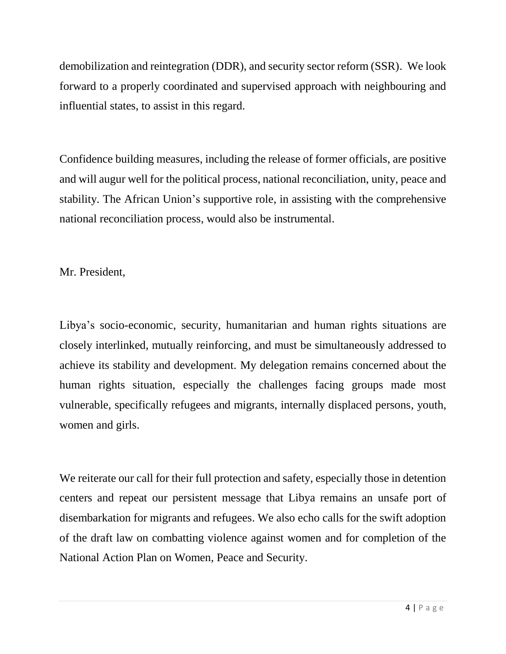demobilization and reintegration (DDR), and security sector reform (SSR). We look forward to a properly coordinated and supervised approach with neighbouring and influential states, to assist in this regard.

Confidence building measures, including the release of former officials, are positive and will augur well for the political process, national reconciliation, unity, peace and stability. The African Union's supportive role, in assisting with the comprehensive national reconciliation process, would also be instrumental.

Mr. President,

Libya's socio-economic, security, humanitarian and human rights situations are closely interlinked, mutually reinforcing, and must be simultaneously addressed to achieve its stability and development. My delegation remains concerned about the human rights situation, especially the challenges facing groups made most vulnerable, specifically refugees and migrants, internally displaced persons, youth, women and girls.

We reiterate our call for their full protection and safety, especially those in detention centers and repeat our persistent message that Libya remains an unsafe port of disembarkation for migrants and refugees. We also echo calls for the swift adoption of the draft law on combatting violence against women and for completion of the National Action Plan on Women, Peace and Security.